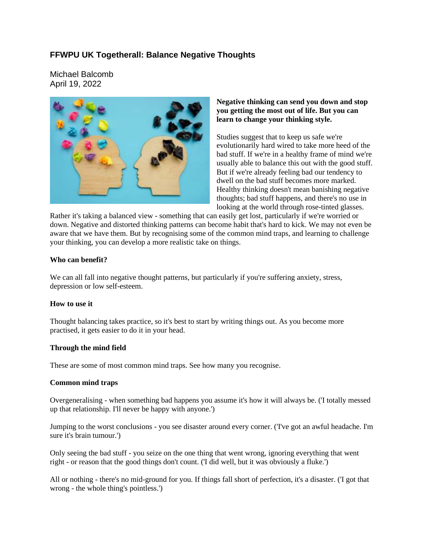# **FFWPU UK Togetherall: Balance Negative Thoughts**

Michael Balcomb April 19, 2022



#### **Negative thinking can send you down and stop you getting the most out of life. But you can learn to change your thinking style.**

Studies suggest that to keep us safe we're evolutionarily hard wired to take more heed of the bad stuff. If we're in a healthy frame of mind we're usually able to balance this out with the good stuff. But if we're already feeling bad our tendency to dwell on the bad stuff becomes more marked. Healthy thinking doesn't mean banishing negative thoughts; bad stuff happens, and there's no use in looking at the world through rose-tinted glasses.

Rather it's taking a balanced view - something that can easily get lost, particularly if we're worried or down. Negative and distorted thinking patterns can become habit that's hard to kick. We may not even be aware that we have them. But by recognising some of the common mind traps, and learning to challenge your thinking, you can develop a more realistic take on things.

#### **Who can benefit?**

We can all fall into negative thought patterns, but particularly if you're suffering anxiety, stress, depression or low self-esteem.

#### **How to use it**

Thought balancing takes practice, so it's best to start by writing things out. As you become more practised, it gets easier to do it in your head.

#### **Through the mind field**

These are some of most common mind traps. See how many you recognise.

#### **Common mind traps**

Overgeneralising - when something bad happens you assume it's how it will always be. ('I totally messed up that relationship. I'll never be happy with anyone.')

Jumping to the worst conclusions - you see disaster around every corner. ('I've got an awful headache. I'm sure it's brain tumour.')

Only seeing the bad stuff - you seize on the one thing that went wrong, ignoring everything that went right - or reason that the good things don't count. ('I did well, but it was obviously a fluke.')

All or nothing - there's no mid-ground for you. If things fall short of perfection, it's a disaster. ('I got that wrong - the whole thing's pointless.')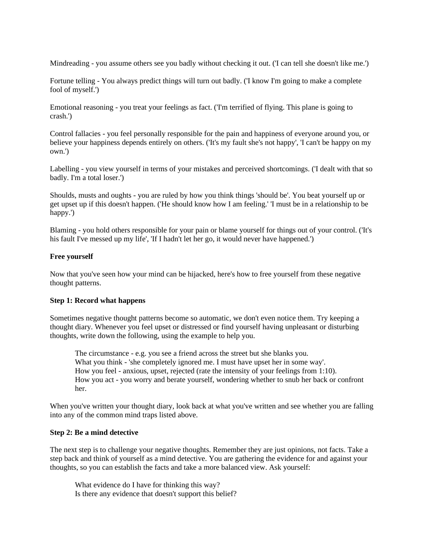Mindreading - you assume others see you badly without checking it out. ('I can tell she doesn't like me.')

Fortune telling - You always predict things will turn out badly. ('I know I'm going to make a complete fool of myself.')

Emotional reasoning - you treat your feelings as fact. ('I'm terrified of flying. This plane is going to crash.')

Control fallacies - you feel personally responsible for the pain and happiness of everyone around you, or believe your happiness depends entirely on others. ('It's my fault she's not happy', 'I can't be happy on my own.')

Labelling - you view yourself in terms of your mistakes and perceived shortcomings. ('I dealt with that so badly. I'm a total loser.')

Shoulds, musts and oughts - you are ruled by how you think things 'should be'. You beat yourself up or get upset up if this doesn't happen. ('He should know how I am feeling.' 'I must be in a relationship to be happy.')

Blaming - you hold others responsible for your pain or blame yourself for things out of your control. ('It's his fault I've messed up my life', 'If I hadn't let her go, it would never have happened.')

#### **Free yourself**

Now that you've seen how your mind can be hijacked, here's how to free yourself from these negative thought patterns.

#### **Step 1: Record what happens**

Sometimes negative thought patterns become so automatic, we don't even notice them. Try keeping a thought diary. Whenever you feel upset or distressed or find yourself having unpleasant or disturbing thoughts, write down the following, using the example to help you.

The circumstance - e.g. you see a friend across the street but she blanks you. What you think - 'she completely ignored me. I must have upset her in some way'. How you feel - anxious, upset, rejected (rate the intensity of your feelings from 1:10). How you act - you worry and berate yourself, wondering whether to snub her back or confront her.

When you've written your thought diary, look back at what you've written and see whether you are falling into any of the common mind traps listed above.

#### **Step 2: Be a mind detective**

The next step is to challenge your negative thoughts. Remember they are just opinions, not facts. Take a step back and think of yourself as a mind detective. You are gathering the evidence for and against your thoughts, so you can establish the facts and take a more balanced view. Ask yourself:

What evidence do I have for thinking this way? Is there any evidence that doesn't support this belief?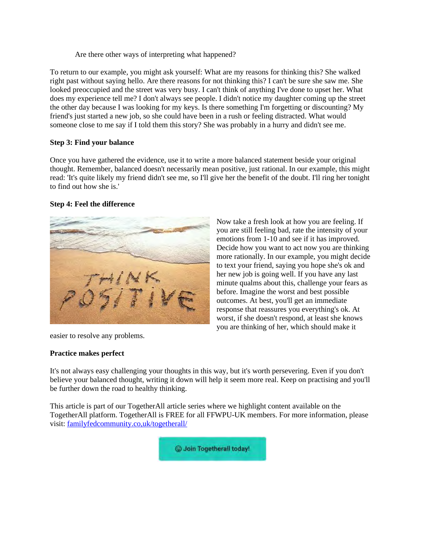Are there other ways of interpreting what happened?

To return to our example, you might ask yourself: What are my reasons for thinking this? She walked right past without saying hello. Are there reasons for not thinking this? I can't be sure she saw me. She looked preoccupied and the street was very busy. I can't think of anything I've done to upset her. What does my experience tell me? I don't always see people. I didn't notice my daughter coming up the street the other day because I was looking for my keys. Is there something I'm forgetting or discounting? My friend's just started a new job, so she could have been in a rush or feeling distracted. What would someone close to me say if I told them this story? She was probably in a hurry and didn't see me.

#### **Step 3: Find your balance**

Once you have gathered the evidence, use it to write a more balanced statement beside your original thought. Remember, balanced doesn't necessarily mean positive, just rational. In our example, this might read: 'It's quite likely my friend didn't see me, so I'll give her the benefit of the doubt. I'll ring her tonight to find out how she is.'

#### **Step 4: Feel the difference**



easier to resolve any problems.

#### **Practice makes perfect**

Now take a fresh look at how you are feeling. If you are still feeling bad, rate the intensity of your emotions from 1-10 and see if it has improved. Decide how you want to act now you are thinking more rationally. In our example, you might decide to text your friend, saying you hope she's ok and her new job is going well. If you have any last minute qualms about this, challenge your fears as before. Imagine the worst and best possible outcomes. At best, you'll get an immediate response that reassures you everything's ok. At worst, if she doesn't respond, at least she knows you are thinking of her, which should make it

It's not always easy challenging your thoughts in this way, but it's worth persevering. Even if you don't believe your balanced thought, writing it down will help it seem more real. Keep on practising and you'll be further down the road to healthy thinking.

This article is part of our TogetherAll article series where we highlight content available on the TogetherAll platform. TogetherAll is FREE for all FFWPU-UK members. For more information, please visit: familyfedcommunity.co,uk/togetherall/

C Join Togetherall today!